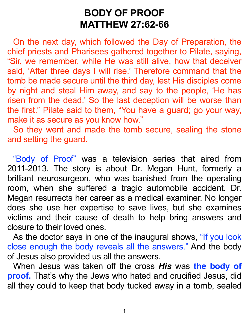## **BODY OF PROOF MATTHEW 27:62-66**

On the next day, which followed the Day of Preparation, the chief priests and Pharisees gathered together to Pilate, saying, "Sir, we remember, while He was still alive, how that deceiver said, 'After three days I will rise.' Therefore command that the tomb be made secure until the third day, lest His disciples come by night and steal Him away, and say to the people, 'He has risen from the dead.' So the last deception will be worse than the first." Pilate said to them, "You have a guard; go your way, make it as secure as you know how."

So they went and made the tomb secure, sealing the stone and setting the guard.

"Body of Proof" was a television series that aired from 2011-2013. The story is about Dr. Megan Hunt, formerly a brilliant neurosurgeon, who was banished from the operating room, when she suffered a tragic automobile accident. Dr. Megan resurrects her career as a medical examiner. No longer does she use her expertise to save lives, but she examines victims and their cause of death to help bring answers and closure to their loved ones.

As the doctor says in one of the inaugural shows, "If you look close enough the body reveals all the answers." And the body of Jesus also provided us all the answers.

When Jesus was taken off the cross *His* was **the body of proof.** That's why the Jews who hated and crucified Jesus, did all they could to keep that body tucked away in a tomb, sealed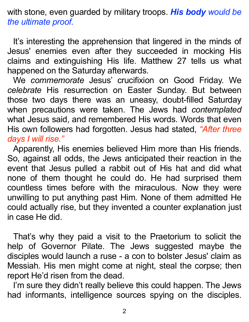with stone, even guarded by military troops. *His body would be the ultimate proof.*

It's interesting the apprehension that lingered in the minds of Jesus' enemies even after they succeeded in mocking His claims and extinguishing His life. Matthew 27 tells us what happened on the Saturday afterwards.

We *commemorate* Jesus' crucifixion on Good Friday. We *celebrate* His resurrection on Easter Sunday. But between those two days there was an uneasy, doubt-filled Saturday when precautions were taken. The Jews had *contemplated* what Jesus said, and remembered His words. Words that even His own followers had forgotten. Jesus had stated, *"After three days I will rise."*

Apparently, His enemies believed Him more than His friends. So, against all odds, the Jews anticipated their reaction in the event that Jesus pulled a rabbit out of His hat and did what none of them thought he could do. He had surprised them countless times before with the miraculous. Now they were unwilling to put anything past Him. None of them admitted He could actually rise, but they invented a counter explanation just in case He did.

That's why they paid a visit to the Praetorium to solicit the help of Governor Pilate. The Jews suggested maybe the disciples would launch a ruse - a con to bolster Jesus' claim as Messiah. His men might come at night, steal the corpse; then report He'd risen from the dead.

I'm sure they didn't really believe this could happen. The Jews had informants, intelligence sources spying on the disciples.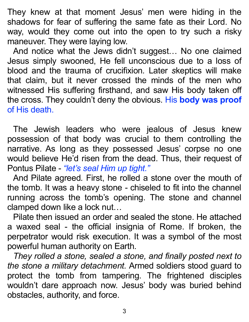They knew at that moment Jesus' men were hiding in the shadows for fear of suffering the same fate as their Lord. No way, would they come out into the open to try such a risky maneuver. They were laying low.

And notice what the Jews didn't suggest… No one claimed Jesus simply swooned, He fell unconscious due to a loss of blood and the trauma of crucifixion*.* Later *s*keptics will make that claim, but it never crossed the minds of the men who witnessed His suffering firsthand, and saw His body taken off the cross. They couldn't deny the obvious. His **body was proof**  of His death.

The Jewish leaders who were jealous of Jesus knew possession of that body was crucial to them controlling the narrative. As long as they possessed Jesus' corpse no one would believe He'd risen from the dead. Thus, their request of Pontus Pilate - *"let's seal Him up tight."*

And Pilate agreed*.* First, he rolled a stone over the mouth of the tomb. It was a heavy stone - chiseled to fit into the channel running across the tomb's opening. The stone and channel clamped down like a lock nut…

Pilate then issued an order and sealed the stone. He attached a waxed seal - the official insignia of Rome. If broken, the perpetrator would risk execution. It was a symbol of the most powerful human authority on Earth.

*They rolled a stone, sealed a stone, and finally posted next to the stone a military detachment.* Armed soldiers stood guard to protect the tomb from tampering. The frightened disciples wouldn't dare approach now. Jesus' body was buried behind obstacles, authority, and force.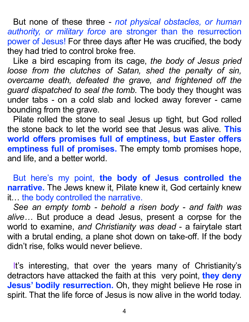But none of these three - *not physical obstacles, or human authority, or military force* are stronger than the resurrection power of Jesus! For three days after He was crucified, the body they had tried to control broke free.

Like a bird escaping from its cage, *the body of Jesus pried loose from the clutches of Satan, shed the penalty of sin, overcame death, defeated the grave, and frightened off the guard dispatched to seal the tomb.* The body they thought was under tabs - on a cold slab and locked away forever - came bounding from the grave.

Pilate rolled the stone to seal Jesus up tight, but God rolled the stone back to let the world see that Jesus was alive. **This world offers promises full of emptiness, but Easter offers emptiness full of promises.** The empty tomb promises hope, and life, and a better world.

But here's my point, **the body of Jesus controlled the narrative.** The Jews knew it, Pilate knew it, God certainly knew it… the body controlled the narrative.

*See an empty tomb - behold a risen body - and faith was alive…* But produce a dead Jesus, present a corpse for the world to examine, *and Christianity was dead* - a fairytale start with a brutal ending, a plane shot down on take-off. If the body didn't rise, folks would never believe.

It's interesting, that over the years many of Christianity's detractors have attacked the faith at this very point, **they deny Jesus' bodily resurrection.** Oh, they might believe He rose in spirit. That the life force of Jesus is now alive in the world today.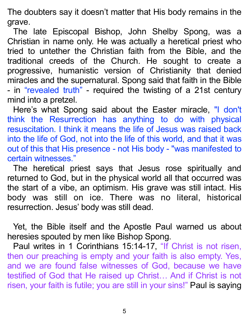The doubters say it doesn't matter that His body remains in the grave.

The late Episcopal Bishop, John Shelby Spong, was a Christian in name only. He was actually a heretical priest who tried to untether the Christian faith from the Bible, and the traditional creeds of the Church. He sought to create a progressive, humanistic version of Christianity that denied miracles and the supernatural. Spong said that faith in the Bible - in "revealed truth" - required the twisting of a 21st century mind into a pretzel.

Here's what Spong said about the Easter miracle, "I don't think the Resurrection has anything to do with physical resuscitation. I think it means the life of Jesus was raised back into the life of God, not into the life of this world, and that it was out of this that His presence - not His body - "was manifested to certain witnesses."

The heretical priest says that Jesus rose spiritually and returned to God, but in the physical world all that occurred was the start of a vibe, an optimism. His grave was still intact. His body was still on ice. There was no literal, historical resurrection. Jesus' body was still dead.

Yet, the Bible itself and the Apostle Paul warned us about heresies spouted by men like Bishop Spong.

Paul writes in 1 Corinthians 15:14-17, "If Christ is not risen, then our preaching is empty and your faith is also empty. Yes, and we are found false witnesses of God, because we have testified of God that He raised up Christ… And if Christ is not risen, your faith is futile; you are still in your sins!" Paul is saying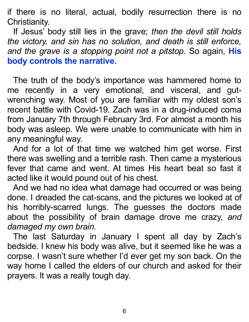if there is no literal, actual, bodily resurrection there is no Christianity.

If Jesus' body still lies in the grave; *then the devil still holds the victory, and sin has no solution, and death is still enforce, and the grave is a stopping point not a pitstop.* So again, **His body controls the narrative.**

The truth of the body's importance was hammered home to me recently in a very emotional, and visceral, and gutwrenching way. Most of you are familiar with my oldest son's recent battle with Covid-19. Zach was in a drug-induced coma from January 7th through February 3rd. For almost a month his body was asleep. We were unable to communicate with him in any meaningful way.

And for a lot of that time we watched him get worse. First there was swelling and a terrible rash. Then came a mysterious fever that came and went. At times His heart beat so fast it acted like it would pound out of his chest.

And we had no idea what damage had occurred or was being done. I dreaded the cat-scans, and the pictures we looked at of his horribly-scarred lungs. The guesses the doctors made about the possibility of brain damage drove me crazy, *and damaged my own brain.*

The last Saturday in January I spent all day by Zach's bedside. I knew his body was alive, but it seemed like he was a corpse. I wasn't sure whether I'd ever get my son back. On the way home I called the elders of our church and asked for their prayers. It was a really tough day.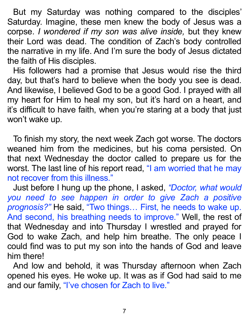But my Saturday was nothing compared to the disciples' Saturday. Imagine, these men knew the body of Jesus was a corpse. *I wondered if my son was alive inside,* but they knew their Lord was dead. The condition of Zach's body controlled the narrative in my life. And I'm sure the body of Jesus dictated the faith of His disciples.

His followers had a promise that Jesus would rise the third day, but that's hard to believe when the body you see is dead. And likewise, I believed God to be a good God. I prayed with all my heart for Him to heal my son, but it's hard on a heart, and it's difficult to have faith, when you're staring at a body that just won't wake up.

To finish my story, the next week Zach got worse. The doctors weaned him from the medicines, but his coma persisted. On that next Wednesday the doctor called to prepare us for the worst. The last line of his report read, "I am worried that he may not recover from this illness."

Just before I hung up the phone, I asked, *"Doctor, what would you need to see happen in order to give Zach a positive prognosis?"* He said, "Two things… First, he needs to wake up. And second, his breathing needs to improve." Well, the rest of that Wednesday and into Thursday I wrestled and prayed for God to wake Zach, and help him breathe. The only peace I could find was to put my son into the hands of God and leave him there!

And low and behold, it was Thursday afternoon when Zach opened his eyes. He woke up. It was as if God had said to me and our family, "I've chosen for Zach to live."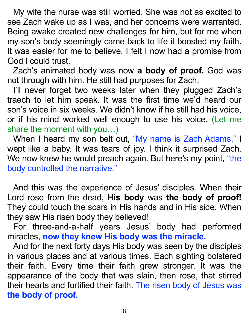My wife the nurse was still worried. She was not as excited to see Zach wake up as I was, and her concerns were warranted. Being awake created new challenges for him, but for me when my son's body seemingly came back to life it boosted my faith. It was easier for me to believe. I felt I now had a promise from God I could trust.

Zach's animated body was now **a body of proof.** God was not through with him. He still had purposes for Zach.

I'll never forget two weeks later when they plugged Zach's traech to let him speak. It was the first time we'd heard our son's voice in six weeks. We didn't know if he still had his voice, or if his mind worked well enough to use his voice. (Let me share the moment with you…)

When I heard my son belt out, "My name is Zach Adams," I wept like a baby. It was tears of joy. I think it surprised Zach. We now knew he would preach again. But here's my point, "the body controlled the narrative."

And this was the experience of Jesus' disciples. When their Lord rose from the dead, **His body** was **the body of proof!**  They could touch the scars in His hands and in His side. When they saw His risen body they believed!

For three-and-a-half years Jesus' body had performed miracles, **now they knew His body was the miracle.**

And for the next forty days His body was seen by the disciples in various places and at various times. Each sighting bolstered their faith. Every time their faith grew stronger. It was the appearance of the body that was slain, then rose, that stirred their hearts and fortified their faith. The risen body of Jesus was **the body of proof.**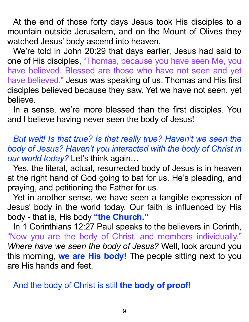At the end of those forty days Jesus took His disciples to a mountain outside Jerusalem, and on the Mount of Olives they watched Jesus' body ascend into heaven.

We're told in John 20:29 that days earlier, Jesus had said to one of His disciples, "Thomas, because you have seen Me, you have believed. Blessed are those who have not seen and yet have believed." Jesus was speaking of us. Thomas and His first disciples believed because they saw. Yet we have not seen, yet believe.

In a sense, we're more blessed than the first disciples. You and I believe having never seen the body of Jesus!

*But wait! Is that true? Is that really true? Haven't we seen the body of Jesus? Haven't you interacted with the body of Christ in our world today?* Let's think again…

Yes, the literal, actual, resurrected body of Jesus is in heaven at the right hand of God going to bat for us. He's pleading, and praying, and petitioning the Father for us.

Yet in another sense, we have seen a tangible expression of Jesus' body in the world today. Our faith is influenced by His body - that is, His body **"the Church."**

In 1 Corinthians 12:27 Paul speaks to the believers in Corinth, "Now you are the body of Christ, and members individually." *Where have we seen the body of Jesus?* Well, look around you this morning, **we are His body!** The people sitting next to you are His hands and feet.

And the body of Christ is still **the body of proof!**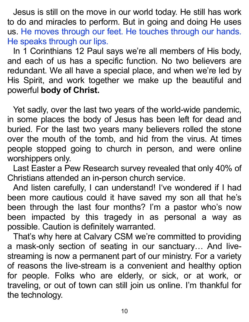Jesus is still on the move in our world today. He still has work to do and miracles to perform. But in going and doing He uses us. He moves through our feet. He touches through our hands. He speaks through our lips.

In 1 Corinthians 12 Paul says we're all members of His body, and each of us has a specific function. No two believers are redundant. We all have a special place, and when we're led by His Spirit, and work together we make up the beautiful and powerful **body of Christ.**

Yet sadly, over the last two years of the world-wide pandemic, in some places the body of Jesus has been left for dead and buried. For the last two years many believers rolled the stone over the mouth of the tomb, and hid from the virus. At times people stopped going to church in person, and were online worshippers only.

Last Easter a Pew Research survey revealed that only 40% of Christians attended an in-person church service.

And listen carefully, I can understand! I've wondered if I had been more cautious could it have saved my son all that he's been through the last four months? I'm a pastor who's now been impacted by this tragedy in as personal a way as possible. Caution is definitely warranted.

That's why here at Calvary CSM we're committed to providing a mask-only section of seating in our sanctuary… And livestreaming is now a permanent part of our ministry. For a variety of reasons the live-stream is a convenient and healthy option for people. Folks who are elderly, or sick, or at work, or traveling, or out of town can still join us online. I'm thankful for the technology.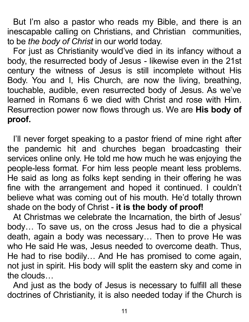But I'm also a pastor who reads my Bible, and there is an inescapable calling on Christians, and Christian communities, to be *the body of Christ* in our world today.

For just as Christianity would've died in its infancy without a body, the resurrected body of Jesus - likewise even in the 21st century the witness of Jesus is still incomplete without His Body. You and I, His Church, are now the living, breathing, touchable, audible, even resurrected body of Jesus. As we've learned in Romans 6 we died with Christ and rose with Him. Resurrection power now flows through us. We are **His body of proof.**

I'll never forget speaking to a pastor friend of mine right after the pandemic hit and churches began broadcasting their services online only. He told me how much he was enjoying the people-less format. For him less people meant less problems. He said as long as folks kept sending in their offering he was fine with the arrangement and hoped it continued. I couldn't believe what was coming out of his mouth. He'd totally thrown shade on the body of Christ - **it is the body of proof!**

At Christmas we celebrate the Incarnation, the birth of Jesus' body… To save us, on the cross Jesus had to die a physical death, again a body was necessary… Then to prove He was who He said He was, Jesus needed to overcome death. Thus, He had to rise bodily… And He has promised to come again, not just in spirit. His body will split the eastern sky and come in the clouds…

And just as the body of Jesus is necessary to fulfill all these doctrines of Christianity, it is also needed today if the Church is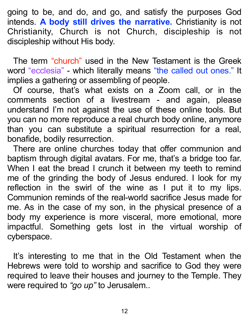going to be, and do, and go, and satisfy the purposes God intends. **A body still drives the narrative.** Christianity is not Christianity, Church is not Church, discipleship is not discipleship without His body.

The term "church" used in the New Testament is the Greek word "ecclesia" - which literally means "the called out ones." It implies a gathering or assembling of people.

Of course, that's what exists on a Zoom call, or in the comments section of a livestream - and again, please understand I'm not against the use of these online tools. But you can no more reproduce a real church body online, anymore than you can substitute a spiritual resurrection for a real, bonafide, bodily resurrection.

There are online churches today that offer communion and baptism through digital avatars. For me, that's a bridge too far. When I eat the bread I crunch it between my teeth to remind me of the grinding the body of Jesus endured. I look for my reflection in the swirl of the wine as I put it to my lips. Communion reminds of the real-world sacrifice Jesus made for me. As in the case of my son, in the physical presence of a body my experience is more visceral, more emotional, more impactful. Something gets lost in the virtual worship of cyberspace.

It's interesting to me that in the Old Testament when the Hebrews were told to worship and sacrifice to God they were required to leave their houses and journey to the Temple. They were required to *"go up"* to Jerusalem..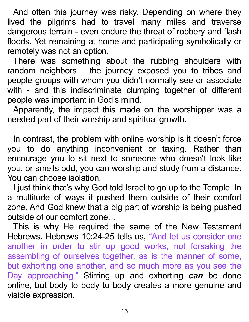And often this journey was risky. Depending on where they lived the pilgrims had to travel many miles and traverse dangerous terrain - even endure the threat of robbery and flash floods. Yet remaining at home and participating symbolically or remotely was not an option.

There was something about the rubbing shoulders with random neighbors… the journey exposed you to tribes and people groups with whom you didn't normally see or associate with - and this indiscriminate clumping together of different people was important in God's mind.

Apparently, the impact this made on the worshipper was a needed part of their worship and spiritual growth.

In contrast, the problem with online worship is it doesn't force you to do anything inconvenient or taxing. Rather than encourage you to sit next to someone who doesn't look like you, or smells odd, you can worship and study from a distance. You can choose isolation.

I just think that's why God told Israel to go up to the Temple. In a multitude of ways it pushed them outside of their comfort zone. And God knew that a big part of worship is being pushed outside of our comfort zone…

This is why He required the same of the New Testament Hebrews. Hebrews 10:24-25 tells us, "And let us consider one another in order to stir up good works, not forsaking the assembling of ourselves together, as is the manner of some, but exhorting one another, and so much more as you see the Day approaching." Stirring up and exhorting *can* be done online*,* but body to body to body creates a more genuine and visible expression.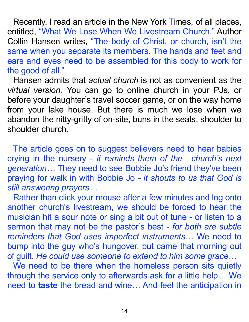Recently, I read an article in the New York Times, of all places, entitled, "What We Lose When We Livestream Church." Author Collin Hansen writes, "The body of Christ, or church, isn't the same when you separate its members. The hands and feet and ears and eyes need to be assembled for this body to work for the good of all."

Hansen admits that *actual church* is not as convenient as the *virtual version.* You can go to online church in your PJs, or before your daughter's travel soccer game, or on the way home from your lake house. But there is much we lose when we abandon the nitty-gritty of on-site, buns in the seats, shoulder to shoulder church.

The article goes on to suggest believers need to hear babies crying in the nursery - *it reminds them of the church's next generation…* They need to see Bobbie Jo's friend they've been praying for walk in with Bobbie Jo *- it shouts to us that God is still answering prayers…*

Rather than click your mouse after a few minutes and log onto another church's livestream, we should be forced to hear the musician hit a sour note or sing a bit out of tune - or listen to a sermon that may not be the pastor's best - *for both are subtle reminders that God uses imperfect instruments…* We need to bump into the guy who's hungover, but came that morning out of guilt. *He could use someone to extend to him some grace…*

We need to be there when the homeless person sits quietly through the service only to afterwards ask for a little help… We need to **taste** the bread and wine… And feel the anticipation in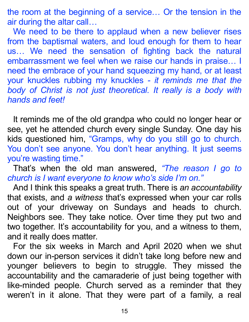the room at the beginning of a service… Or the tension in the air during the altar call…

We need to be there to applaud when a new believer rises from the baptismal waters, and loud enough for them to hear us… We need the sensation of fighting back the natural embarrassment we feel when we raise our hands in praise… I need the embrace of your hand squeezing my hand, or at least your knuckles rubbing my knuckles *- it reminds me that the*  body of Christ is not just theoretical. It really is a body with *hands and feet!*

It reminds me of the old grandpa who could no longer hear or see, yet he attended church every single Sunday. One day his kids questioned him, "Gramps, why do you still go to church. You don't see anyone. You don't hear anything. It just seems you're wasting time."

That's when the old man answered, *"The reason I go to church is I want everyone to know who's side I'm on."*

And I think this speaks a great truth. There is *an accountability* that exists, and *a witness* that's expressed when your car rolls out of your driveway on Sundays and heads to church. Neighbors see. They take notice. Over time they put two and two together. It's accountability for you, and a witness to them, and it really does matter.

For the six weeks in March and April 2020 when we shut down our in-person services it didn't take long before new and younger believers to begin to struggle. They missed the accountability and the camaraderie of just being together with like-minded people. Church served as a reminder that they weren't in it alone. That they were part of a family, a real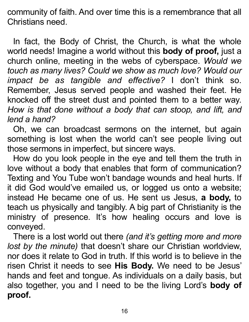community of faith. And over time this is a remembrance that all Christians need.

In fact, the Body of Christ, the Church, is what the whole world needs! Imagine a world without this **body of proof,** just a church online, meeting in the webs of cyberspace. *Would we touch as many lives? Could we show as much love? Would our impact be as tangible and effective?* I don't think so. Remember, Jesus served people and washed their feet. He knocked off the street dust and pointed them to a better way. *How is that done without a body that can stoop, and lift, and lend a hand?*

Oh, we can broadcast sermons on the internet, but again something is lost when the world can't see people living out those sermons in imperfect, but sincere ways.

How do you look people in the eye and tell them the truth in love without a body that enables that form of communication? Texting and You Tube won't bandage wounds and heal hurts. If it did God would've emailed us, or logged us onto a website; instead He became one of us. He sent us Jesus, **a body,** to teach us physically and tangibly. A big part of Christianity is the ministry of presence. It's how healing occurs and love is conveyed.

There is a lost world out there *(and it's getting more and more lost by the minute)* that doesn't share our Christian worldview, nor does it relate to God in truth. If this world is to believe in the risen Christ it needs to see **His Body.** We need to be Jesus' hands and feet and tongue. As individuals on a daily basis, but also together, you and I need to be the living Lord's **body of proof.**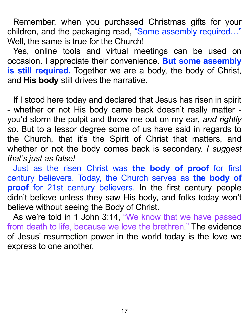Remember, when you purchased Christmas gifts for your children, and the packaging read, "Some assembly required..." Well, the same is true for the Church!

Yes, online tools and virtual meetings can be used on occasion. I appreciate their convenience. **But some assembly is still required.** Together we are a body, the body of Christ, and **His body** still drives the narrative.

If I stood here today and declared that Jesus has risen in spirit - whether or not His body came back doesn't really matter you'd storm the pulpit and throw me out on my ear, *and rightly so*. But to a lessor degree some of us have said in regards to the Church, that it's the Spirit of Christ that matters, and whether or not the body comes back is secondary. *I suggest that's just as false!*

Just as the risen Christ was **the body of proof** for first century believers. Today, the Church serves as **the body of proof** for 21st century believers. In the first century people didn't believe unless they saw His body, and folks today won't believe without seeing the Body of Christ.

As we're told in 1 John 3:14, "We know that we have passed from death to life, because we love the brethren." The evidence of Jesus' resurrection power in the world today is the love we express to one another.